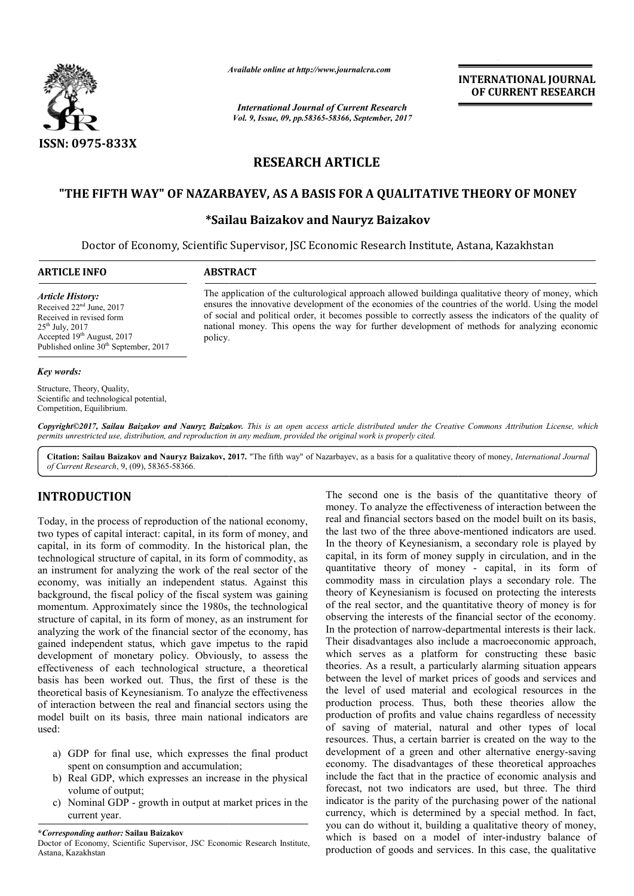

*Available online at http://www.journal http://www.journalcra.com*

*International Journal of Current Research Vol. 9, Issue, 09, pp.58365-58366, September, 2017* **INTERNATIONAL JOURNAL OF CURRENT RESEARCH** 

# **RESEARCH ARTICLE**

# **"THE FIFTH WAY" OF NAZARBAYEV, AS A BASIS FOR A QUALITATIVE THEORY OF MONEY "THE FIFTH FOR A MONEY**

## **\*Sailau Sailau Baizakov and Nauryz Baizakov**

Doctor of Economy, Scientific Supervisor, JSC Economic Research Institute, Astana, Kazakhstan

### **ARTICLE INFO ABSTRACT**

policy.

### *Article History:*

Received 22<sup>nd</sup> June, 2017 Received in revised form 25th July, 2017 Accepted 19<sup>th</sup> August, 2017 Published online  $30<sup>th</sup>$  September, 2017

### *Key words:*

Structure, Theory, Quality, Scientific and technological potential, Competition, Equilibrium.

The application of the culturological approach allowed buildinga qualitative theory of money, which ensures the innovative development of the economies of the countries of the world. Using the model The application of the culturological approach allowed buildinga qualitative theory of money, which ensures the innovative development of the economies of the countries of the world. Using the model of social and political

national money. This opens the way for further development of methods for analyzing economic

*Copyright©2017, Sailau Baizakov and Nauryz Baizakov Baizakov. This is an open access article distributed under the Creative Commons Att is open under the Attribution License, which permits unrestricted use, distribution, and reproduction in any medium, provided the original work is properly cited.*

Citation: Sailau Baizakov and Nauryz Baizakov, 2017. "The fifth way" of Nazarbayev, as a basis for a qualitative theory of money, *International Journal of Current Research*, 9, (09), 58365-58366.

### **INTRODUCTION**

Today, in the process of reproduction of the national economy, two types of capital interact: capital, in its form of money, and capital, in its form of commodity. In the historical plan, the technological structure of capital, in its form of commodity, as an instrument for analyzing the work of the real sector of the economy, was initially an independent status. Against this background, the fiscal policy of the fiscal system was gaining momentum. Approximately since the 1980s, the technological structure of capital, in its form of money, as an instrument for analyzing the work of the financial sector of the economy, has gained independent status, which gave impetus to the rapid development of monetary policy. Obviously, to assess the effectiveness of each technological structure, a theoretical basis has been worked out. Thus, the first of these is the theoretical basis of Keynesianism. To analyze the effectiveness of interaction between the real and financial sectors using the model built on its basis, three main national indicators are used:

- a) GDP for final use, which expresses the final product spent on consumption and accumulation;
- b) Real GDP, which expresses an increase in the physical volume of output;
- c) Nominal GDP growth in output at market prices in the current year.

**\****Corresponding author:* **Sailau Baizakov** 

Doctor of Economy, Scientific Supervisor, JSC Economic Research Institute, Astana, Kazakhstan

**IUCTION**<br>
The second one is the basis of the quantitative theory of<br>
money. To analyze the effectiveness of interaction between the<br>
role process of capital interact: capital, in its form of money, and<br>
the last two of th The second one is the basis of the quantitative theory of money. To analyze the effectiveness of interaction between the real and financial sectors based on the model built on its basis, the last two of the three above-mentioned indicators are used. the last two of the three above-mentioned indicators are used. In the theory of Keynesianism, a secondary role is played by capital, in its form of money supply in circulation, and in the quantitative theory of money - capital, in its form of commodity mass in circulation plays a secondary role. The theory of Keynesianism is focused on protecting the interests theory of Keynesianism is focused on protecting the interests of the real sector, and the quantitative theory of money is for observing the interests of the financial sector of the economy. In the protection of narrow-departmental interests is their lack. Their disadvantages also include a macroeconomic approach, which serves as a platform for constructing these basic theories. As a result, a particularly alarming situation appears between the level of market prices of goods and services and the level of used material and ecological resources in the production process. Thus, both these theories allow the production of profits and value chains regardless of necessity of saving of material, natural and other types of local resources. Thus, a certain barrier is created on the way to the development of a green and other alternative energy-saving economy. The disadvantages of these theoretical approaches include the fact that in the practice of economic analysis and forecast, not two indicators are used, but three. The third indicator is the parity of the purchasing power of the national currency, which is determined by a special method. In fact, you can do without it, building a qualitative theory of money, you can do without it, building a qualitative theory of money, which is based on a model of inter-industry balance of production of goods and services. In this case, the qualitative is the interests of the financial sector of the economy.<br>
otection of narrow-departmental interests is their lack.<br>
advantages also include a macroeconomic approach,<br>
erves as a platform for constructing these basic<br>
As a that in the practice of economic analysis and<br>wo indicators are used, but three. The third<br>parity of the purchasing power of the national<br>is determined by a special method. In fact, **INTERNATIONAL JOURNAL OF CURRENT RESEARCH CONTINUME AND CONTINUME OF CURRENT RESEARCH LOTE CONTINUME CONTINUME CONTINUME CONTINUME CONTINUME CONTINUME CONTINUME CONTINUME CONTINUME CONTINUME CONTINUME CONTINUME CONTINUME**